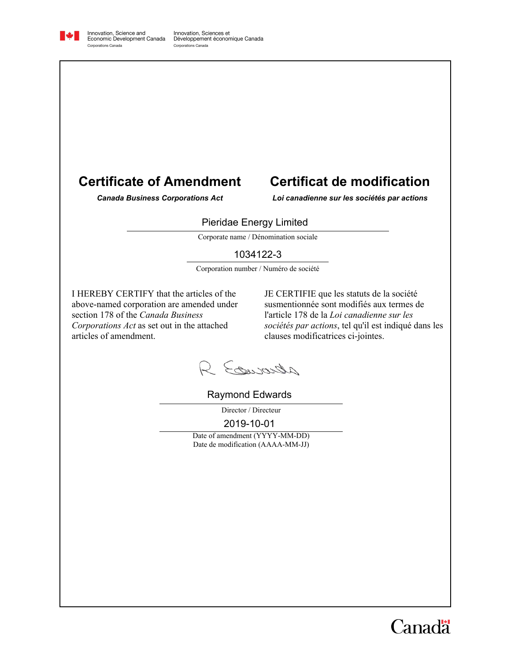

# **Certificate of Amendment**

# **Certificat de modification**

*Canada Business Corporations Act Loi canadienne sur les sociétés par actions*

### Pieridae Energy Limited

Corporate name / Dénomination sociale

# 1034122-3

Corporation number / Numéro de société

I HEREBY CERTIFY that the articles of the above-named corporation are amended under section 178 of the *Canada Business Corporations Act* as set out in the attached articles of amendment.

JE CERTIFIE que les statuts de la société susmentionnée sont modifiés aux termes de l'article 178 de la *Loi canadienne sur les sociétés par actions*, tel qu'il est indiqué dans les clauses modificatrices ci-jointes.

R Econorda

Raymond Edwards

Director / Directeur

2019-10-01

Date of amendment (YYYY-MM-DD) Date de modification (AAAA-MM-JJ)

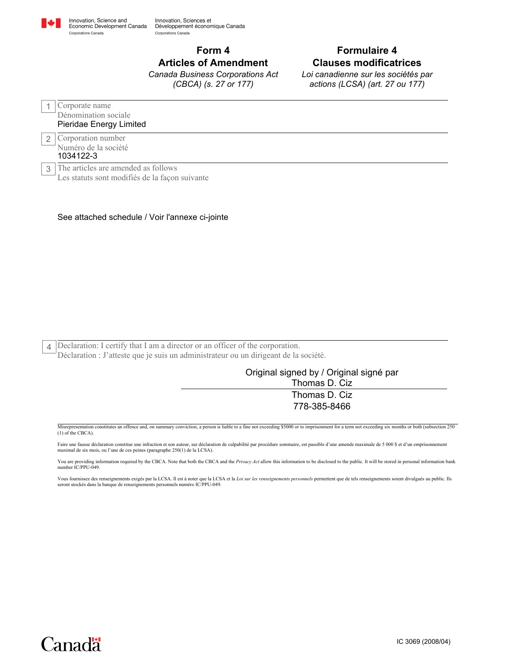

Innovation, Sciences et Développement économique Canada Corporations Canada

### **Form 4**

# *Canada Business Corporations Act*

*(CBCA) (s. 27 or 177)*

# **Formulaire 4 Articles of Amendment Clauses modificatrices**

*Loi canadienne sur les sociétés par actions (LCSA) (art. 27 ou 177)*

|   | Corporate name                                                                        |
|---|---------------------------------------------------------------------------------------|
|   | Dénomination sociale<br>Pieridae Energy Limited                                       |
|   | Corporation number<br>Numéro de la société<br>1034122-3                               |
| 3 | The articles are amended as follows<br>Les statuts sont modifiés de la façon suivante |

See attached schedule / Voir l'annexe ci-jointe

4 Declaration: I certify that I am a director or an officer of the corporation. Déclaration : J'atteste que je suis un administrateur ou un dirigeant de la société.

> Thomas D. Ciz 778-385-8466 Thomas D. Ciz Original signed by / Original signé par

Misrepresentation constitutes an offence and, on summary conviction, a person is liable to a fine not exceeding \$5000 or to imprisonment for a term not exceeding six months or both (subsection 250 (1) of the CBCA).

Faire une fausse déclaration constitue une infraction et son auteur, sur déclaration de culpabilité par procédure sommaire, est passible d'une amende maximale de 5 000 \$ et d'un emprisonnement<br>maximal de six mois, ou l'une

You are providing information required by the CBCA. Note that both the CBCA and the *Privacy Act* allow this information to be disclosed to the public. It will be stored in personal information bank number IC/PPU-049.

Vous fournissez des renseignements exigés par la LCSA. Il est à noter que la LCSA et la *Loi sur les renseignements personnels* permettent que de tels renseignements soient divulgués au public. Ils<br>seront stockés dans la b

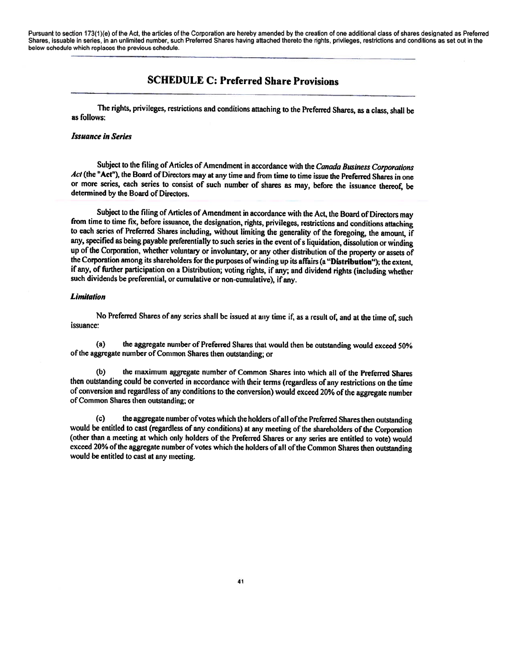Pursuant to section 173(1)(e) of the Act, the articles of the Corporation are hereby amended by the creation of one additional class of shares designated as Preferred Shares, issuable in series, in an unlimited number, such Preferred Shares having attached thereto the rights, privileges, restrictions and conditions as set out in the below schedule which replaces the previous schedule.

### SCHEDULE C: Preferred Share Provisions

The rights, privileges, restrictions and conditions attaching to the Preferred Shares, as <sup>a</sup> class, shall be as follows:

### Issuance in Series

Subject to the filing of Articles of Amendment in accordance with the Canada Business Corporations Act (the "Act"), the Board of Directors may at any time and from time to time issue the Preferred Shares in one or more series, each series to consist of such number of shares as may, before the issuance thereof, be determined by the Board of Directors.

Subject to the filing of Articles of Amendment in accordance with the Act, the Board of Directors may from time to time fix, before issuance, the designation, rights, privileges, restrictions and conditions attaching to each series of Preferred Shares including, without limiting the generality of the foregoing, the amount, if any, specified as being payable preferentially to such series in the event of s liquidation, dissolution or winding up of the Corporation, whether voluntary or involuntary, or any other distribution of the property or asse the Corporation among its shareholders for the purposes of winding up its affairs (a "Distribution"); the extent, if any, of further participation on a Distribution; voting rights, if any; and dividend rights (including wh

#### **Limitation**

No Preferred Shares of any series shall be issued at any time if, as <sup>a</sup> result of, and at the tune of, such issuance:

(a) the aggregate number of Preferred Shares that would then be outstanding would exceed 50% of the aggregate number of Common Shares then outstanding; or

(b) the maximum aggregate number of Common Shares into which all of the Preferred Shares then outstanding could be converted in accordance with their terms (regardless of any restrictions on the time of conversion and regardless of any conditions to the conversion) would exceed 20% of the aggregate number of Common Shares then outstanding; or

(c) the aggregate number ofvotes which the holders of all ofthe Preferred Shares then outstanding would be entitled to cast (regardless of any conditions) at any meeting of the shareholders of the Corporation (other than <sup>a</sup> meeting at which only holders of the Preferred Shares or any series are entitled to vote) would exceed 20% of the aggregate number of votes which the holders of all of the Common Shares then outstanding would be entitled to cast at any meeting.